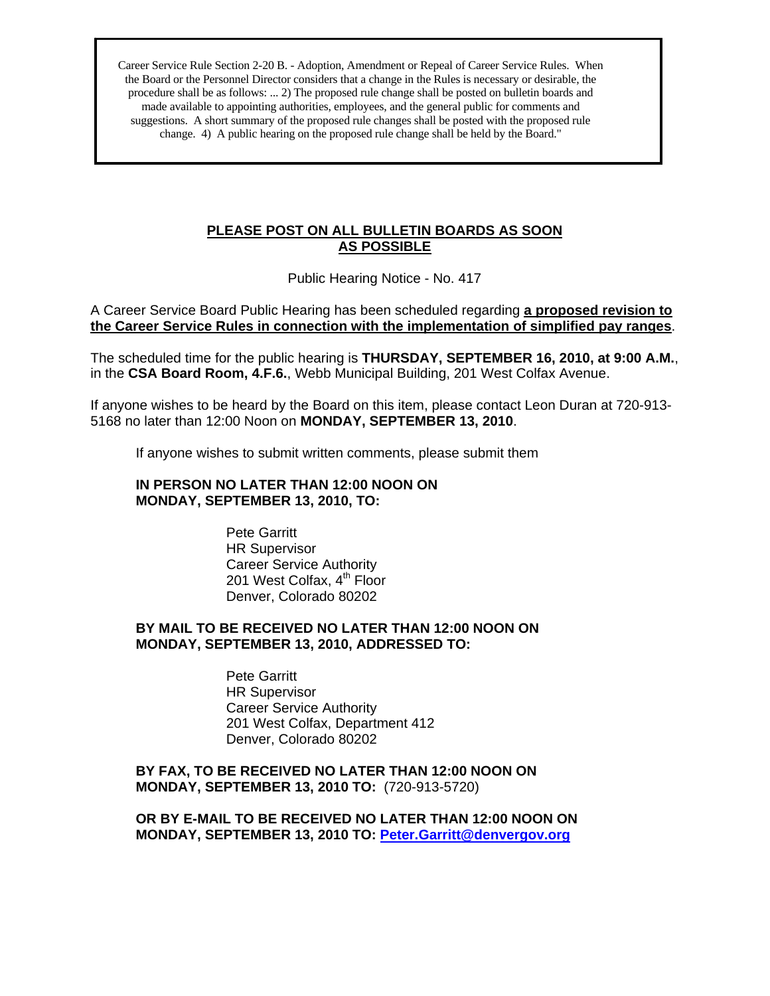Career Service Rule Section 2-20 B. - Adoption, Amendment or Repeal of Career Service Rules. When the Board or the Personnel Director considers that a change in the Rules is necessary or desirable, the procedure shall be as follows: ... 2) The proposed rule change shall be posted on bulletin boards and made available to appointing authorities, employees, and the general public for comments and suggestions. A short summary of the proposed rule changes shall be posted with the proposed rule change. 4) A public hearing on the proposed rule change shall be held by the Board."

### **PLEASE POST ON ALL BULLETIN BOARDS AS SOON AS POSSIBLE**

Public Hearing Notice - No. 417

A Career Service Board Public Hearing has been scheduled regarding **a proposed revision to the Career Service Rules in connection with the implementation of simplified pay ranges**.

The scheduled time for the public hearing is **THURSDAY, SEPTEMBER 16, 2010, at 9:00 A.M.**, in the **CSA Board Room, 4.F.6.**, Webb Municipal Building, 201 West Colfax Avenue.

If anyone wishes to be heard by the Board on this item, please contact Leon Duran at 720-913- 5168 no later than 12:00 Noon on **MONDAY, SEPTEMBER 13, 2010**.

If anyone wishes to submit written comments, please submit them

#### **IN PERSON NO LATER THAN 12:00 NOON ON MONDAY, SEPTEMBER 13, 2010, TO:**

Pete Garritt HR Supervisor Career Service Authority 201 West Colfax, 4<sup>th</sup> Floor Denver, Colorado 80202

#### **BY MAIL TO BE RECEIVED NO LATER THAN 12:00 NOON ON MONDAY, SEPTEMBER 13, 2010, ADDRESSED TO:**

Pete Garritt HR Supervisor Career Service Authority 201 West Colfax, Department 412 Denver, Colorado 80202

**BY FAX, TO BE RECEIVED NO LATER THAN 12:00 NOON ON MONDAY, SEPTEMBER 13, 2010 TO:** (720-913-5720)

**OR BY E-MAIL TO BE RECEIVED NO LATER THAN 12:00 NOON ON MONDAY, SEPTEMBER 13, 2010 TO: [Peter.Garritt@denvergov.org](mailto:Peter.Garritt@denvergov.org)**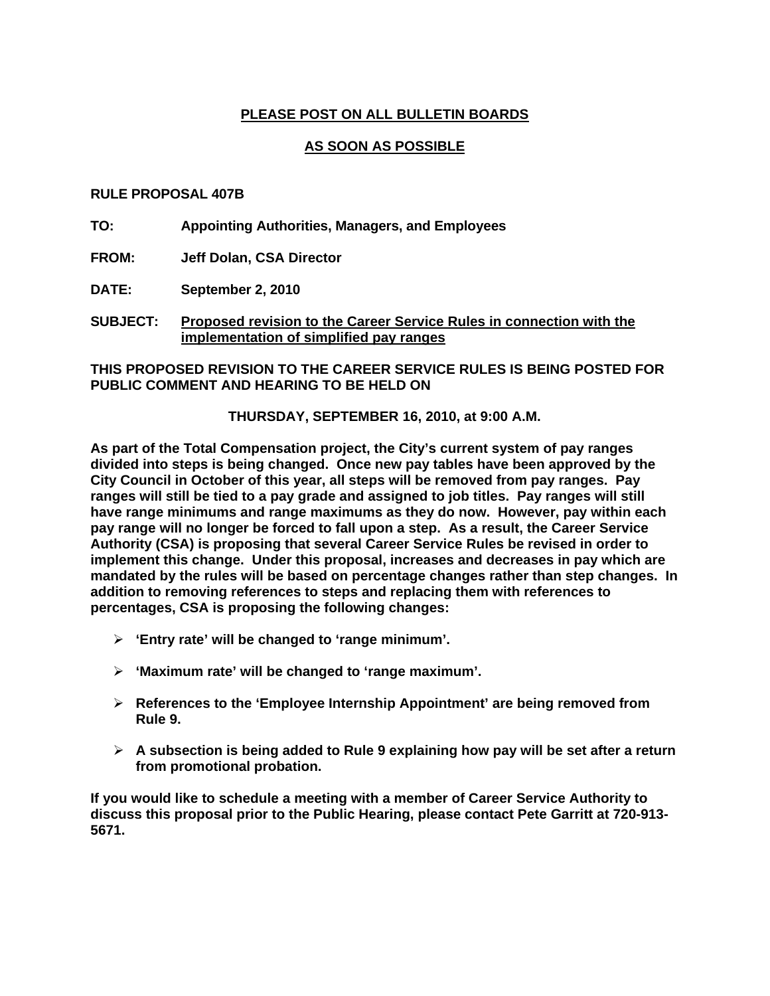# **PLEASE POST ON ALL BULLETIN BOARDS**

# **AS SOON AS POSSIBLE**

#### **RULE PROPOSAL 407B**

**TO: Appointing Authorities, Managers, and Employees** 

**FROM: Jeff Dolan, CSA Director**

**DATE: September 2, 2010** 

**SUBJECT: Proposed revision to the Career Service Rules in connection with the implementation of simplified pay ranges**

**THIS PROPOSED REVISION TO THE CAREER SERVICE RULES IS BEING POSTED FOR PUBLIC COMMENT AND HEARING TO BE HELD ON** 

**THURSDAY, SEPTEMBER 16, 2010, at 9:00 A.M.** 

**As part of the Total Compensation project, the City's current system of pay ranges divided into steps is being changed. Once new pay tables have been approved by the City Council in October of this year, all steps will be removed from pay ranges. Pay ranges will still be tied to a pay grade and assigned to job titles. Pay ranges will still have range minimums and range maximums as they do now. However, pay within each pay range will no longer be forced to fall upon a step. As a result, the Career Service Authority (CSA) is proposing that several Career Service Rules be revised in order to implement this change. Under this proposal, increases and decreases in pay which are mandated by the rules will be based on percentage changes rather than step changes. In addition to removing references to steps and replacing them with references to percentages, CSA is proposing the following changes:** 

- ¾ **'Entry rate' will be changed to 'range minimum'.**
- ¾ **'Maximum rate' will be changed to 'range maximum'.**
- ¾ **References to the 'Employee Internship Appointment' are being removed from Rule 9.**
- ¾ **A subsection is being added to Rule 9 explaining how pay will be set after a return from promotional probation.**

**If you would like to schedule a meeting with a member of Career Service Authority to discuss this proposal prior to the Public Hearing, please contact Pete Garritt at 720-913- 5671.**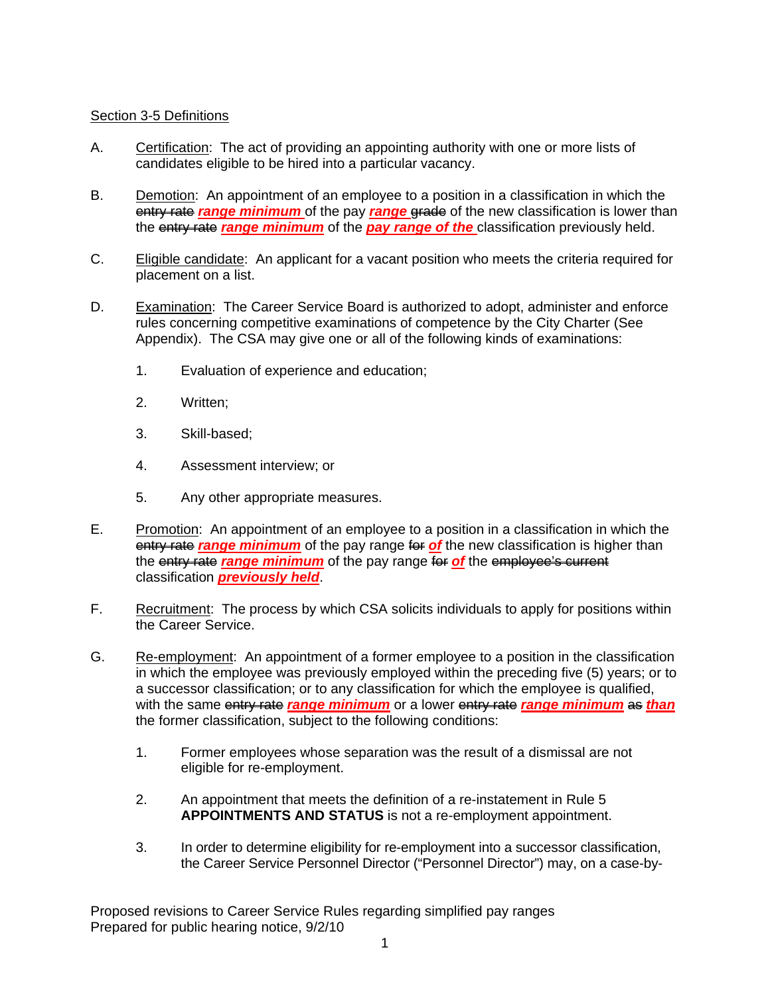# Section 3-5 Definitions

- A. Certification: The act of providing an appointing authority with one or more lists of candidates eligible to be hired into a particular vacancy.
- B. Demotion: An appointment of an employee to a position in a classification in which the entry rate *range minimum* of the pay *range* grade of the new classification is lower than the entry rate *range minimum* of the *pay range of the* classification previously held.
- C. Eligible candidate: An applicant for a vacant position who meets the criteria required for placement on a list.
- D. Examination: The Career Service Board is authorized to adopt, administer and enforce rules concerning competitive examinations of competence by the City Charter (See Appendix). The CSA may give one or all of the following kinds of examinations:
	- 1. Evaluation of experience and education;
	- 2. Written;
	- 3. Skill-based;
	- 4. Assessment interview; or
	- 5. Any other appropriate measures.
- E. Promotion: An appointment of an employee to a position in a classification in which the **entry rate range minimum** of the pay range for of the new classification is higher than the entry rate *range minimum* of the pay range for *of* the employee's current classification *previously held*.
- F. Recruitment: The process by which CSA solicits individuals to apply for positions within the Career Service.
- G. Re-employment: An appointment of a former employee to a position in the classification in which the employee was previously employed within the preceding five (5) years; or to a successor classification; or to any classification for which the employee is qualified, with the same entry rate *range minimum* or a lower entry rate *range minimum* as *than* the former classification, subject to the following conditions:
	- 1. Former employees whose separation was the result of a dismissal are not eligible for re-employment.
	- 2. An appointment that meets the definition of a re-instatement in Rule 5 **APPOINTMENTS AND STATUS** is not a re-employment appointment.
	- 3. In order to determine eligibility for re-employment into a successor classification, the Career Service Personnel Director ("Personnel Director") may, on a case-by-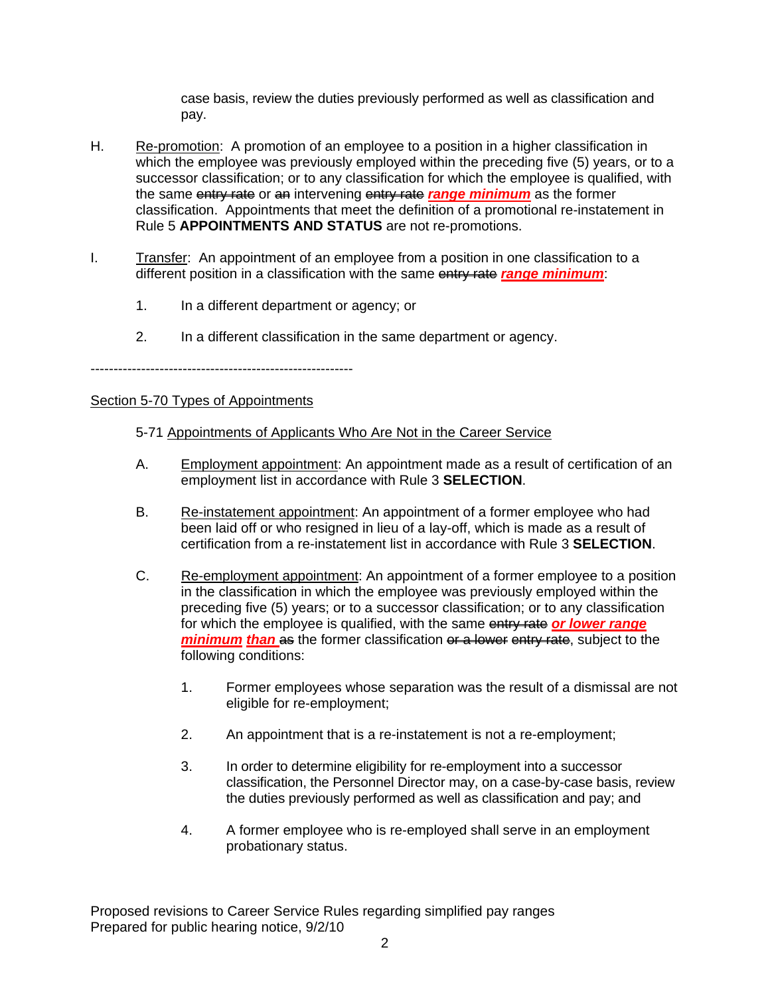case basis, review the duties previously performed as well as classification and pay.

- H. Re-promotion: A promotion of an employee to a position in a higher classification in which the employee was previously employed within the preceding five (5) years, or to a successor classification; or to any classification for which the employee is qualified, with the same entry rate or an intervening entry rate *range minimum* as the former classification. Appointments that meet the definition of a promotional re-instatement in Rule 5 **APPOINTMENTS AND STATUS** are not re-promotions.
- I. Transfer: An appointment of an employee from a position in one classification to a different position in a classification with the same entry rate *range minimum*:
	- 1. In a different department or agency; or
	- 2. In a different classification in the same department or agency.

---------------------------------------------------------

### Section 5-70 Types of Appointments

# 5-71 Appointments of Applicants Who Are Not in the Career Service

- A. Employment appointment: An appointment made as a result of certification of an employment list in accordance with Rule 3 **SELECTION**.
- B. Re-instatement appointment: An appointment of a former employee who had been laid off or who resigned in lieu of a lay-off, which is made as a result of certification from a re-instatement list in accordance with Rule 3 **SELECTION**.
- C. Re-employment appointment: An appointment of a former employee to a position in the classification in which the employee was previously employed within the preceding five (5) years; or to a successor classification; or to any classification for which the employee is qualified, with the same entry rate *or lower range minimum than* as the former classification or a lower entry rate, subject to the following conditions:
	- 1. Former employees whose separation was the result of a dismissal are not eligible for re-employment;
	- 2. An appointment that is a re-instatement is not a re-employment;
	- 3. In order to determine eligibility for re-employment into a successor classification, the Personnel Director may, on a case-by-case basis, review the duties previously performed as well as classification and pay; and
	- 4. A former employee who is re-employed shall serve in an employment probationary status.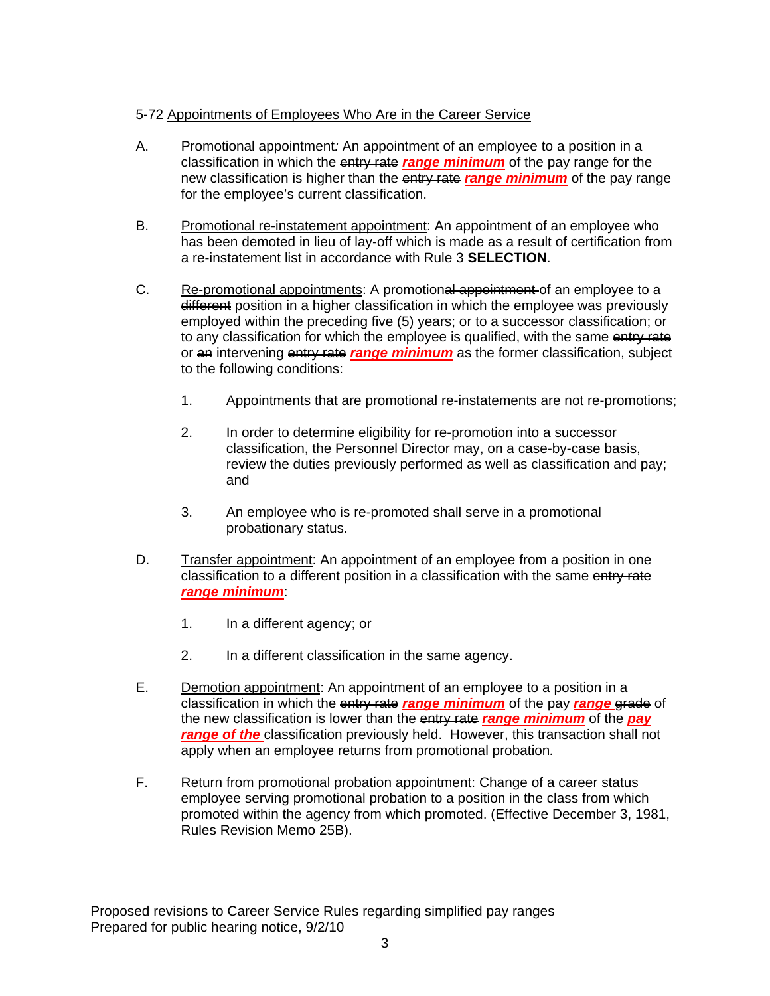# 5-72 Appointments of Employees Who Are in the Career Service

- A. Promotional appointment*:* An appointment of an employee to a position in a classification in which the entry rate *range minimum* of the pay range for the new classification is higher than the entry rate *range minimum* of the pay range for the employee's current classification.
- B. Promotional re-instatement appointment: An appointment of an employee who has been demoted in lieu of lay-off which is made as a result of certification from a re-instatement list in accordance with Rule 3 **SELECTION**.
- C. Re-promotional appointments: A promotional appointment of an employee to a different position in a higher classification in which the employee was previously employed within the preceding five (5) years; or to a successor classification; or to any classification for which the employee is qualified, with the same entry rate or an intervening entry rate *range minimum* as the former classification, subject to the following conditions:
	- 1. Appointments that are promotional re-instatements are not re-promotions;
	- 2. In order to determine eligibility for re-promotion into a successor classification, the Personnel Director may, on a case-by-case basis, review the duties previously performed as well as classification and pay; and
	- 3. An employee who is re-promoted shall serve in a promotional probationary status.
- D. Transfer appointment: An appointment of an employee from a position in one classification to a different position in a classification with the same entry rate *range minimum*:
	- 1. In a different agency; or
	- 2. In a different classification in the same agency.
- E. Demotion appointment: An appointment of an employee to a position in a classification in which the entry rate *range minimum* of the pay *range* grade of the new classification is lower than the entry rate *range minimum* of the *pay range of the* classification previously held. However, this transaction shall not apply when an employee returns from promotional probation*.*
- F. Return from promotional probation appointment: Change of a career status employee serving promotional probation to a position in the class from which promoted within the agency from which promoted. (Effective December 3, 1981, Rules Revision Memo 25B).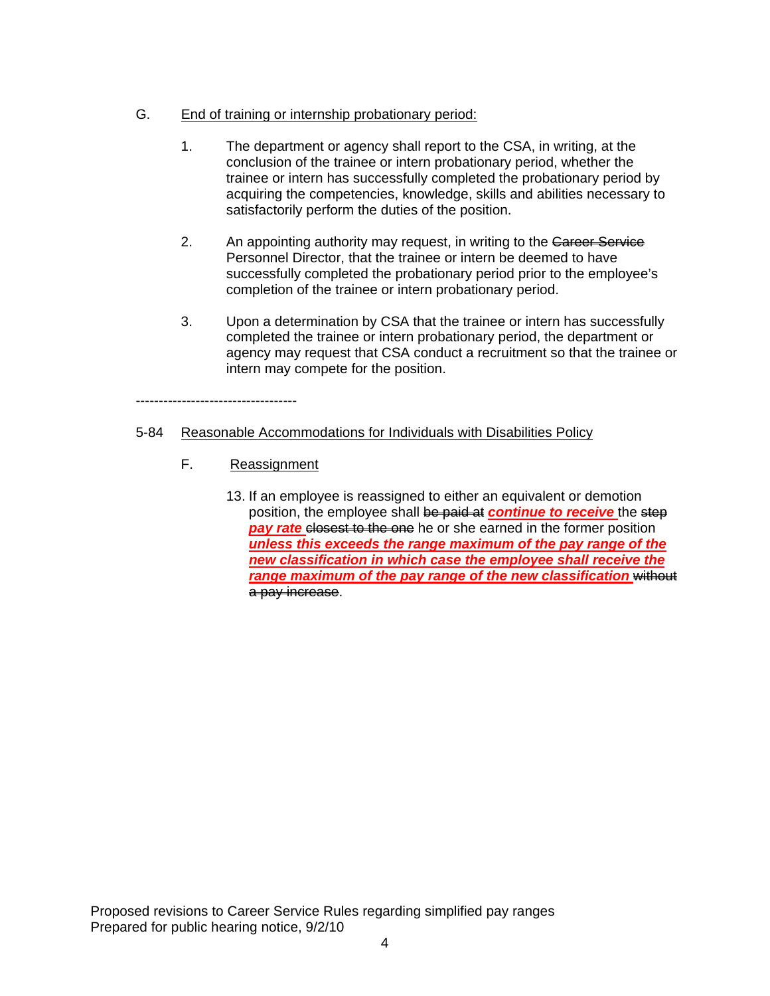# G. End of training or internship probationary period:

- 1. The department or agency shall report to the CSA, in writing, at the conclusion of the trainee or intern probationary period, whether the trainee or intern has successfully completed the probationary period by acquiring the competencies, knowledge, skills and abilities necessary to satisfactorily perform the duties of the position.
- 2. An appointing authority may request, in writing to the Career Service Personnel Director, that the trainee or intern be deemed to have successfully completed the probationary period prior to the employee's completion of the trainee or intern probationary period.
- 3. Upon a determination by CSA that the trainee or intern has successfully completed the trainee or intern probationary period, the department or agency may request that CSA conduct a recruitment so that the trainee or intern may compete for the position.

# 5-84 Reasonable Accommodations for Individuals with Disabilities Policy

F. Reassignment

-----------------------------------

13. If an employee is reassigned to either an equivalent or demotion position, the employee shall be paid at *continue to receive* the step *pay rate closest to the one* he or she earned in the former position *unless this exceeds the range maximum of the pay range of the new classification in which case the employee shall receive the*  range maximum of the pay range of the new classification without a pay increase.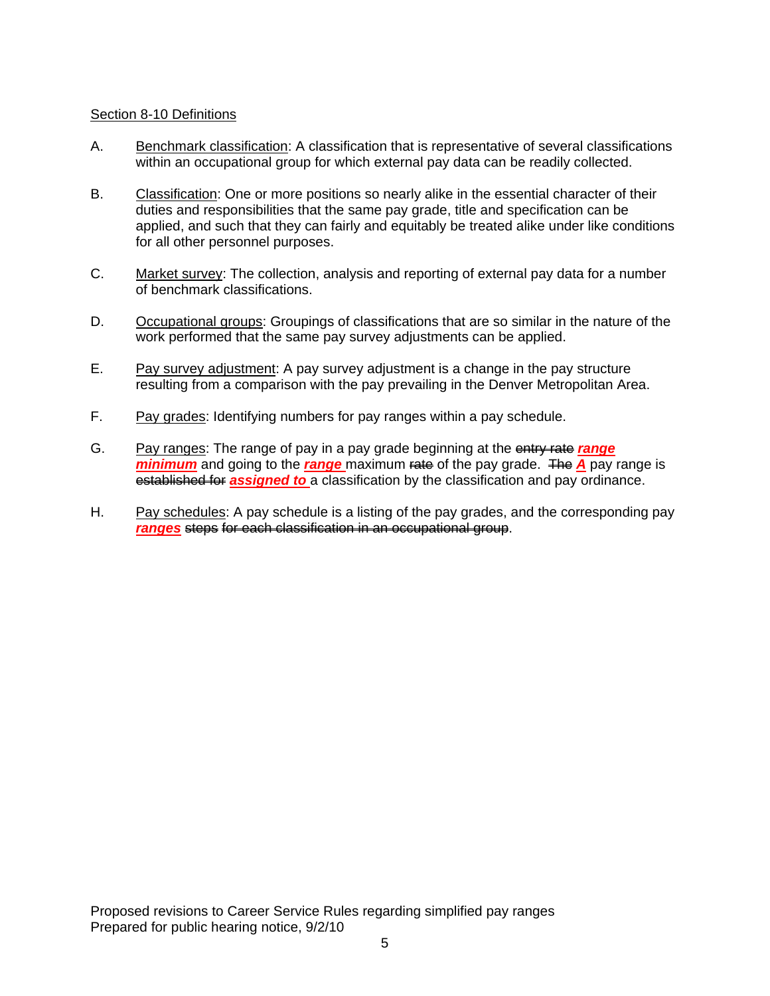# Section 8-10 Definitions

- A. Benchmark classification: A classification that is representative of several classifications within an occupational group for which external pay data can be readily collected.
- B. Classification: One or more positions so nearly alike in the essential character of their duties and responsibilities that the same pay grade, title and specification can be applied, and such that they can fairly and equitably be treated alike under like conditions for all other personnel purposes.
- C. Market survey: The collection, analysis and reporting of external pay data for a number of benchmark classifications.
- D. Occupational groups: Groupings of classifications that are so similar in the nature of the work performed that the same pay survey adjustments can be applied.
- E. Pay survey adjustment: A pay survey adjustment is a change in the pay structure resulting from a comparison with the pay prevailing in the Denver Metropolitan Area.
- F. Pay grades: Identifying numbers for pay ranges within a pay schedule.
- G. Pay ranges: The range of pay in a pay grade beginning at the entry rate *range minimum* and going to the *range* maximum rate of the pay grade. The **A** pay range is established for *assigned to* a classification by the classification and pay ordinance.
- H. Pay schedules: A pay schedule is a listing of the pay grades, and the corresponding pay *ranges* steps for each classification in an occupational group.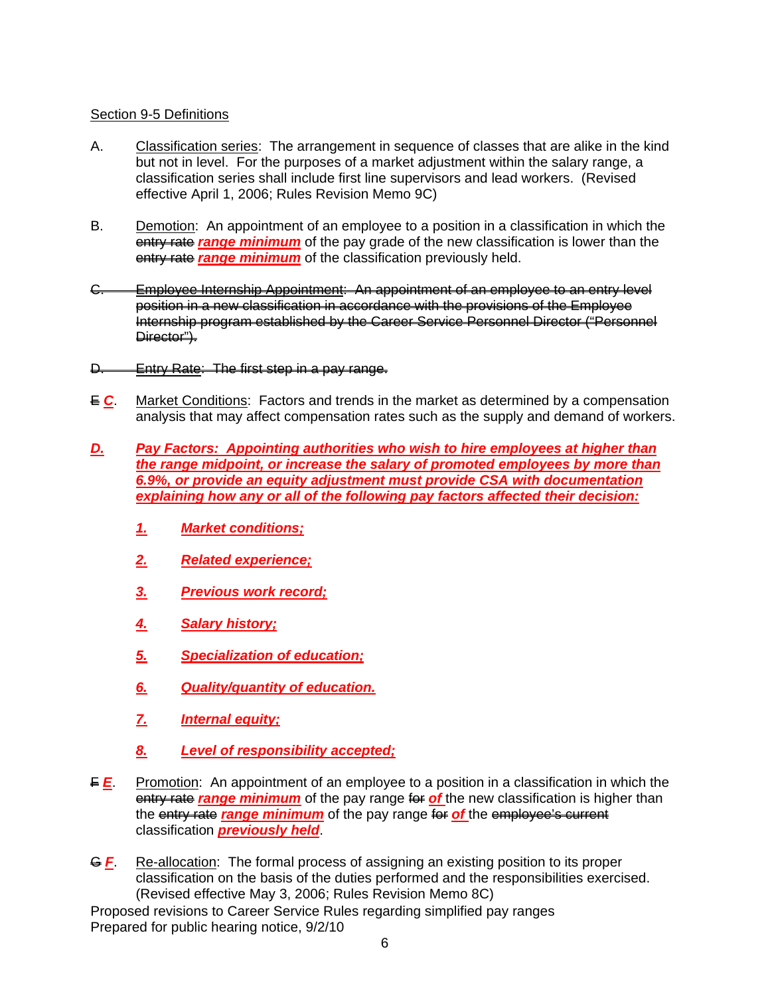# Section 9-5 Definitions

- A. Classification series: The arrangement in sequence of classes that are alike in the kind but not in level. For the purposes of a market adjustment within the salary range, a classification series shall include first line supervisors and lead workers. (Revised effective April 1, 2006; Rules Revision Memo 9C)
- B. Demotion: An appointment of an employee to a position in a classification in which the entry rate *range minimum* of the pay grade of the new classification is lower than the entry rate **range minimum** of the classification previously held.
- C. Employee Internship Appointment: An appointment of an employee to an entry level position in a new classification in accordance with the provisions of the Employee Internship program established by the Career Service Personnel Director ("Personnel Director").
- D. Entry Rate: The first step in a pay range.
- E *C*. Market Conditions: Factors and trends in the market as determined by a compensation analysis that may affect compensation rates such as the supply and demand of workers.
- *D. Pay Factors: Appointing authorities who wish to hire employees at higher than the range midpoint, or increase the salary of promoted employees by more than 6.9%, or provide an equity adjustment must provide CSA with documentation explaining how any or all of the following pay factors affected their decision:*
	- *1. Market conditions;*
	- *2. Related experience;*
	- *3. Previous work record;*
	- *4. Salary history;*
	- *5. Specialization of education;*
	- *6. Quality/quantity of education.*
	- *7. Internal equity;*
	- *8. Level of responsibility accepted;*
- **F** *E*. Promotion: An appointment of an employee to a position in a classification in which the **entry rate** *range minimum* of the pay range for of the new classification is higher than the entry rate *range minimum* of the pay range for of the employee's current classification *previously held*.
- **G F.** Re-allocation: The formal process of assigning an existing position to its proper classification on the basis of the duties performed and the responsibilities exercised. (Revised effective May 3, 2006; Rules Revision Memo 8C)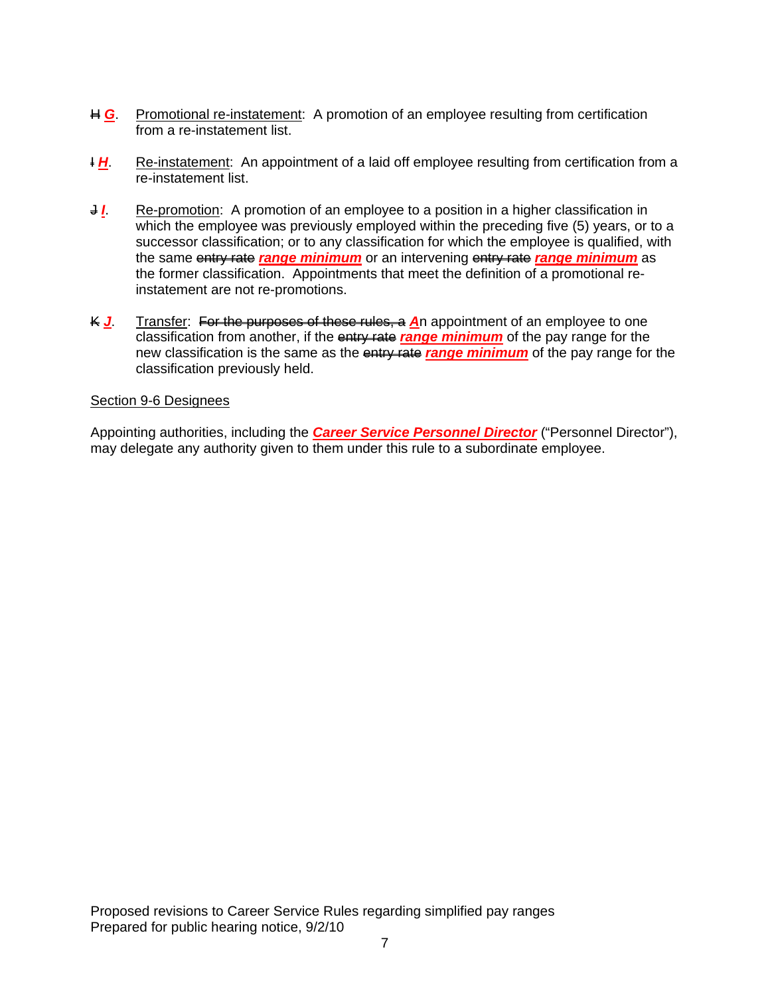- $\# G$ **.** Promotional re-instatement: A promotion of an employee resulting from certification from a re-instatement list.
- *H.* Re-instatement: An appointment of a laid off employee resulting from certification from a re-instatement list.
- **J.** Re-promotion: A promotion of an employee to a position in a higher classification in which the employee was previously employed within the preceding five (5) years, or to a successor classification; or to any classification for which the employee is qualified, with the same entry rate *range minimum* or an intervening entry rate *range minimum* as the former classification. Appointments that meet the definition of a promotional reinstatement are not re-promotions.
- K *J*. Transfer: For the purposes of these rules, a *A*n appointment of an employee to one classification from another, if the entry rate *range minimum* of the pay range for the new classification is the same as the entry rate *range minimum* of the pay range for the classification previously held.

#### Section 9-6 Designees

Appointing authorities, including the *Career Service Personnel Director* ("Personnel Director"), may delegate any authority given to them under this rule to a subordinate employee.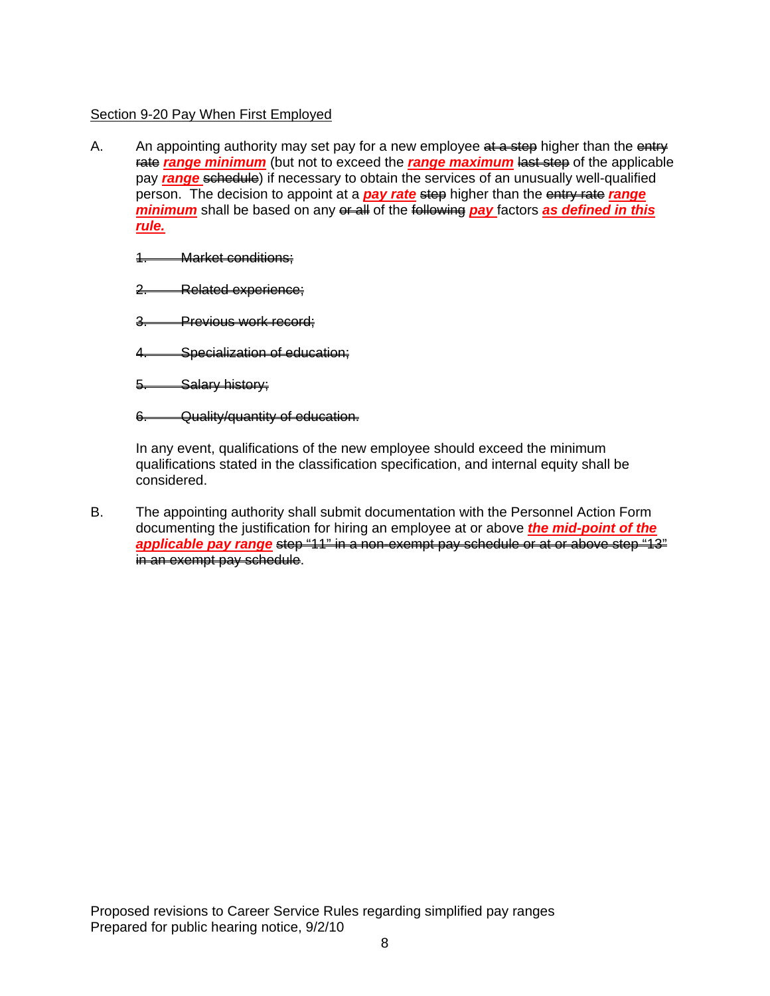# Section 9-20 Pay When First Employed

A. An appointing authority may set pay for a new employee at a step higher than the entry rate *range minimum* (but not to exceed the *range maximum* last step of the applicable pay *range* schedule) if necessary to obtain the services of an unusually well-qualified person. The decision to appoint at a *pay rate* step higher than the entry rate *range minimum* shall be based on any or all of the following pay factors as defined in this *rule.*

1. Market conditions;

2. Related experience;

3. Previous work record;

4. Specialization of education;

5. Salary history;

6. Quality/quantity of education.

In any event, qualifications of the new employee should exceed the minimum qualifications stated in the classification specification, and internal equity shall be considered.

B. The appointing authority shall submit documentation with the Personnel Action Form documenting the justification for hiring an employee at or above *the mid-point of the*  applicable pay range step "11" in a non-exempt pay schedule or at or above step "13" in an exempt pay schedule.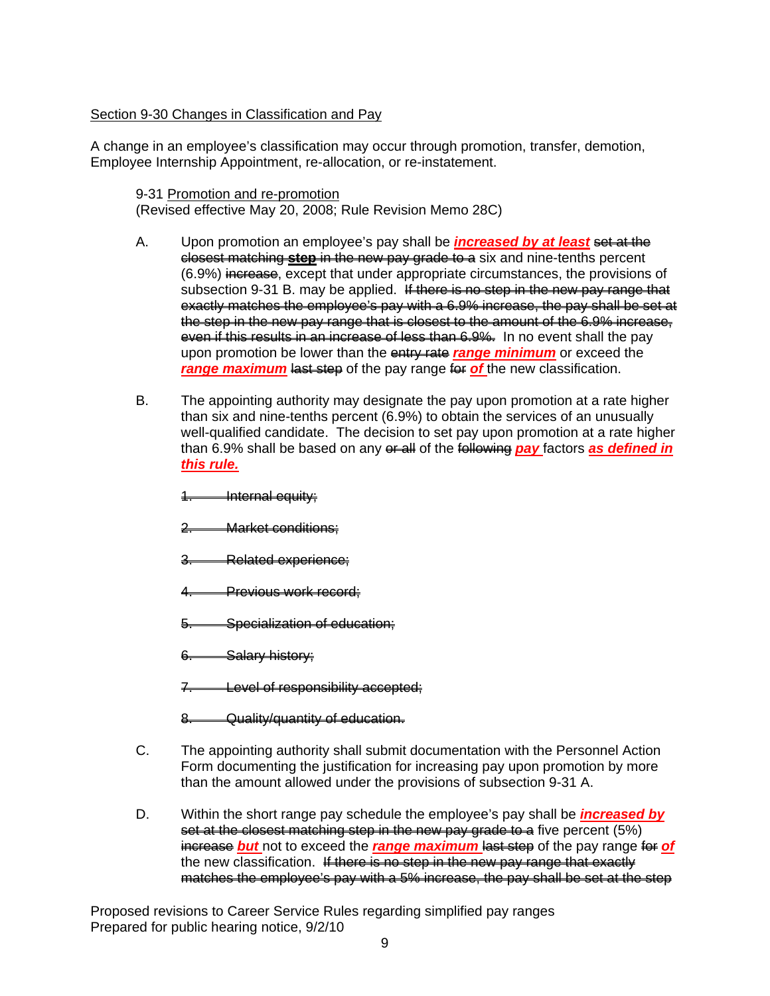# Section 9-30 Changes in Classification and Pay

A change in an employee's classification may occur through promotion, transfer, demotion, Employee Internship Appointment, re-allocation, or re-instatement.

9-31 Promotion and re-promotion (Revised effective May 20, 2008; Rule Revision Memo 28C)

- A. Upon promotion an employee's pay shall be *increased by at least set at the* closest matching **step** in the new pay grade to a six and nine-tenths percent (6.9%) increase, except that under appropriate circumstances, the provisions of subsection 9-31 B. may be applied. If there is no step in the new pay range that exactly matches the employee's pay with a 6.9% increase, the pay shall be set at the step in the new pay range that is closest to the amount of the 6.9% increase, even if this results in an increase of less than 6.9%. In no event shall the pay upon promotion be lower than the entry rate *range minimum* or exceed the **range maximum** last step of the pay range for of the new classification.
- B. The appointing authority may designate the pay upon promotion at a rate higher than six and nine-tenths percent (6.9%) to obtain the services of an unusually well-qualified candidate. The decision to set pay upon promotion at a rate higher than 6.9% shall be based on any exall of the following pay factors as defined in *this rule.*
	- **Internal equity;**
	- **Market conditions:**
	- 3. Related experience;
	- 4. Previous work record;
	- Specialization of education;
	- 6. Salary history;
	- Level of responsibility accepted;
	- 8. Quality/quantity of education.
- C. The appointing authority shall submit documentation with the Personnel Action Form documenting the justification for increasing pay upon promotion by more than the amount allowed under the provisions of subsection 9-31 A.
- D. Within the short range pay schedule the employee's pay shall be *increased by*  set at the closest matching step in the new pay grade to a five percent (5%) increase *but* not to exceed the *range maximum* last step of the pay range for *of*  the new classification. If there is no step in the new pay range that exactly matches the employee's pay with a 5% increase, the pay shall be set at the step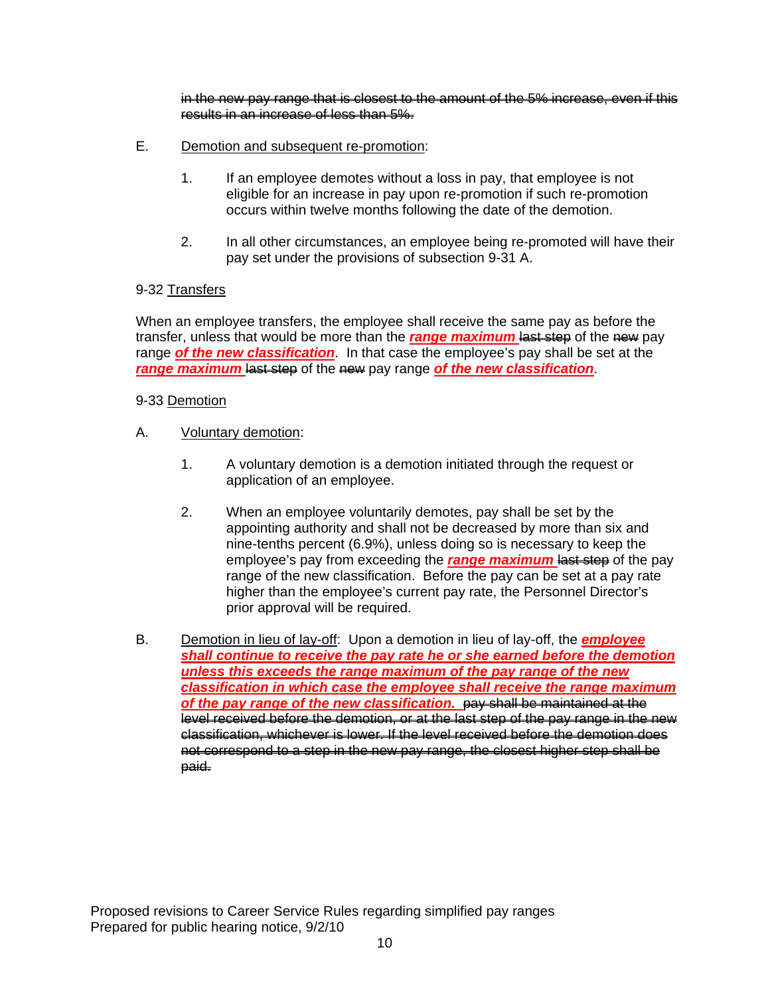in the new pay range that is closest to the amount of the 5% increase, even if this results in an increase of less than 5%.

- E. Demotion and subsequent re-promotion:
	- 1. If an employee demotes without a loss in pay, that employee is not eligible for an increase in pay upon re-promotion if such re-promotion occurs within twelve months following the date of the demotion.
	- 2. In all other circumstances, an employee being re-promoted will have their pay set under the provisions of subsection 9-31 A.

# 9-32 Transfers

When an employee transfers, the employee shall receive the same pay as before the transfer, unless that would be more than the *range maximum* last step of the new pay range *of the new classification*. In that case the employee's pay shall be set at the **range maximum** lest step of the new pay range of the new classification.

### 9-33 Demotion

- A. Voluntary demotion:
	- 1. A voluntary demotion is a demotion initiated through the request or application of an employee.
	- 2. When an employee voluntarily demotes, pay shall be set by the appointing authority and shall not be decreased by more than six and nine-tenths percent (6.9%), unless doing so is necessary to keep the employee's pay from exceeding the *range maximum* last step of the pay range of the new classification. Before the pay can be set at a pay rate higher than the employee's current pay rate, the Personnel Director's prior approval will be required.
- B. Demotion in lieu of lay-off: Upon a demotion in lieu of lay-off, the *employee shall continue to receive the pay rate he or she earned before the demotion unless this exceeds the range maximum of the pay range of the new classification in which case the employee shall receive the range maximum of the pay range of the new classification.* pay shall be maintained at the level received before the demotion, or at the last step of the pay range in the new classification, whichever is lower. If the level received before the demotion does not correspond to a step in the new pay range, the closest higher step shall be paid.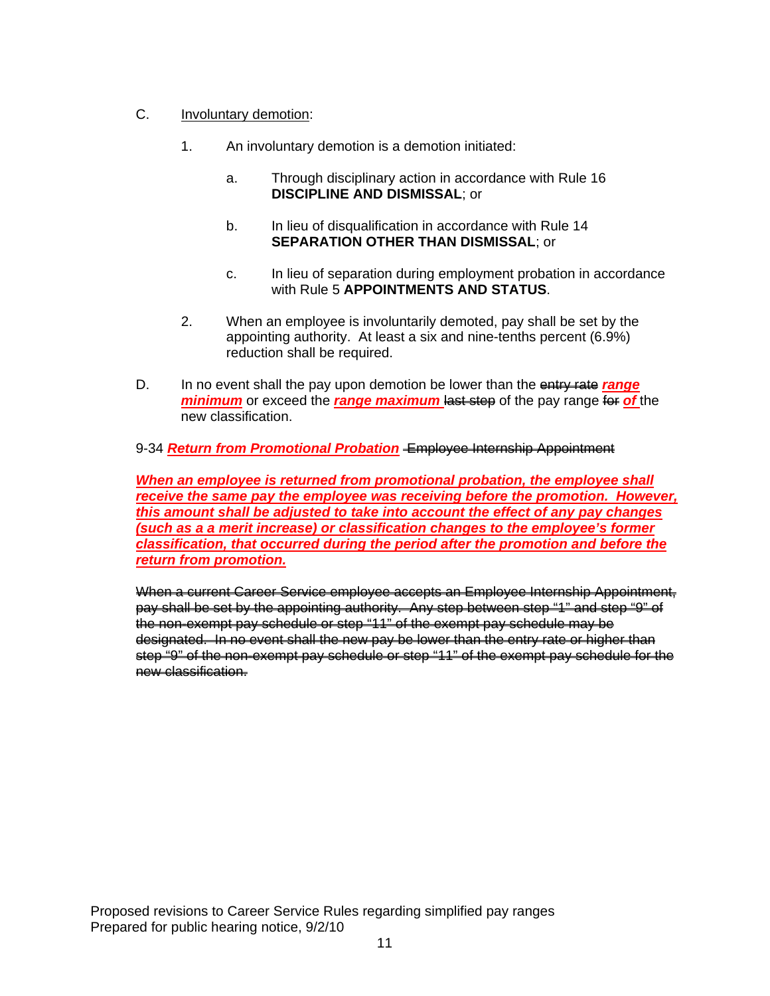- C. Involuntary demotion:
	- 1. An involuntary demotion is a demotion initiated:
		- a. Through disciplinary action in accordance with Rule 16 **DISCIPLINE AND DISMISSAL**; or
		- b. In lieu of disqualification in accordance with Rule 14 **SEPARATION OTHER THAN DISMISSAL**; or
		- c. In lieu of separation during employment probation in accordance with Rule 5 **APPOINTMENTS AND STATUS**.
	- 2. When an employee is involuntarily demoted, pay shall be set by the appointing authority. At least a six and nine-tenths percent (6.9%) reduction shall be required.
- D. In no event shall the pay upon demotion be lower than the entry rate *range minimum* or exceed the *range maximum* last step of the pay range for of the new classification.

# 9-34 *Return from Promotional Probation* Employee Internship Appointment

*When an employee is returned from promotional probation, the employee shall receive the same pay the employee was receiving before the promotion. However, this amount shall be adjusted to take into account the effect of any pay changes (such as a a merit increase) or classification changes to the employee's former classification, that occurred during the period after the promotion and before the return from promotion.*

When a current Career Service employee accepts an Employee Internship Appointment, pay shall be set by the appointing authority. Any step between step "1" and step "9" of the non-exempt pay schedule or step "11" of the exempt pay schedule may be designated. In no event shall the new pay be lower than the entry rate or higher than step "9" of the non-exempt pay schedule or step "11" of the exempt pay schedule for the new classification.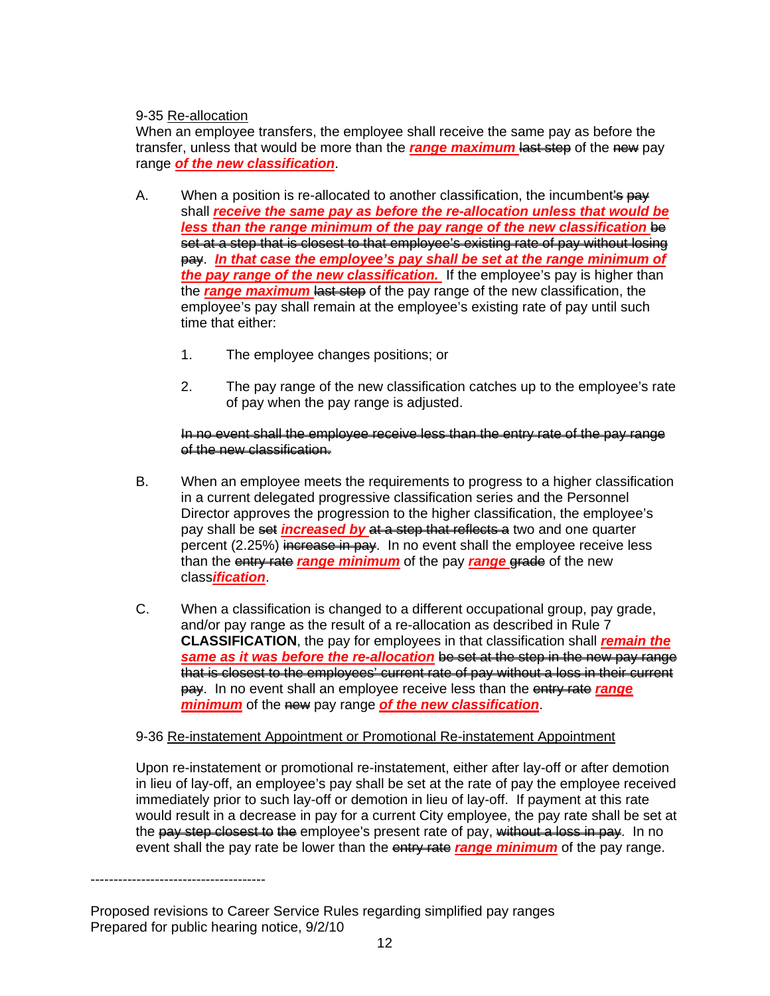# 9-35 Re-allocation

When an employee transfers, the employee shall receive the same pay as before the transfer, unless that would be more than the **range maximum lest step** of the new pay range *of the new classification*.

- A. When a position is re-allocated to another classification, the incumbent  $\frac{1}{2}$  pay shall *receive the same pay as before the re-allocation unless that would be less than the range minimum of the pay range of the new classification be* set at a step that is closest to that employee's existing rate of pay without losing pay. *In that case the employee's pay shall be set at the range minimum of the pay range of the new classification.* If the employee's pay is higher than the *range maximum* last step of the pay range of the new classification, the employee's pay shall remain at the employee's existing rate of pay until such time that either:
	- 1. The employee changes positions; or
	- 2. The pay range of the new classification catches up to the employee's rate of pay when the pay range is adjusted.

### In no event shall the employee receive less than the entry rate of the pay range of the new classification.

- B. When an employee meets the requirements to progress to a higher classification in a current delegated progressive classification series and the Personnel Director approves the progression to the higher classification, the employee's pay shall be set *increased by* at a step that reflects a two and one quarter percent (2.25%) increase in pay. In no event shall the employee receive less than the entry rate *range minimum* of the pay *range* grade of the new class*ification*.
- C. When a classification is changed to a different occupational group, pay grade, and/or pay range as the result of a re-allocation as described in Rule 7 **CLASSIFICATION**, the pay for employees in that classification shall *remain the same as it was before the re-allocation* be set at the step in the new pay range that is closest to the employees' current rate of pay without a loss in their current pay. In no event shall an employee receive less than the entry rate *range minimum* of the new pay range *of the new classification*.

# 9-36 Re-instatement Appointment or Promotional Re-instatement Appointment

Upon re-instatement or promotional re-instatement, either after lay-off or after demotion in lieu of lay-off, an employee's pay shall be set at the rate of pay the employee received immediately prior to such lay-off or demotion in lieu of lay-off. If payment at this rate would result in a decrease in pay for a current City employee, the pay rate shall be set at the pay step closest to the employee's present rate of pay, without a loss in pay. In no event shall the pay rate be lower than the entry rate *range minimum* of the pay range.

Proposed revisions to Career Service Rules regarding simplified pay ranges Prepared for public hearing notice, 9/2/10

--------------------------------------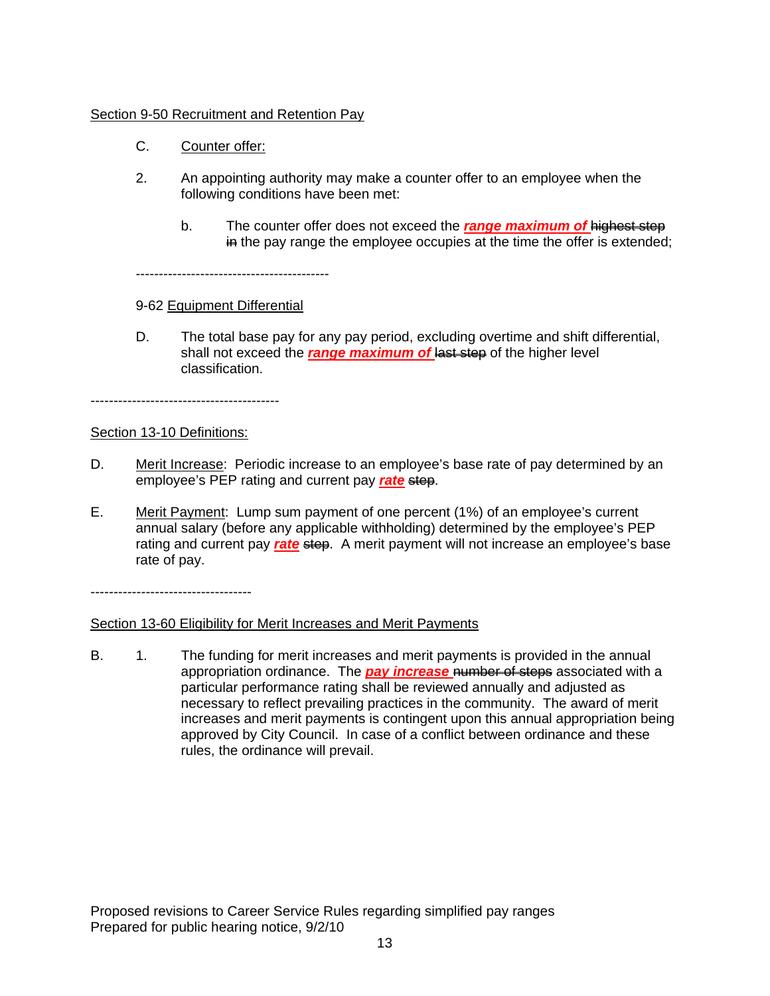# Section 9-50 Recruitment and Retention Pay

- C. Counter offer:
- 2. An appointing authority may make a counter offer to an employee when the following conditions have been met:
	- b. The counter offer does not exceed the *range maximum of* highest step  $\frac{1}{10}$  the pay range the employee occupies at the time the offer is extended;

------------------------------------------

# 9-62 Equipment Differential

D. The total base pay for any pay period, excluding overtime and shift differential, shall not exceed the **range maximum of last step** of the higher level classification.

-----------------------------------------

# Section 13-10 Definitions:

- D. Merit Increase: Periodic increase to an employee's base rate of pay determined by an employee's PEP rating and current pay **rate** step.
- E. Merit Payment: Lump sum payment of one percent (1%) of an employee's current annual salary (before any applicable withholding) determined by the employee's PEP rating and current pay *rate* step. A merit payment will not increase an employee's base rate of pay.

-----------------------------------

# Section 13-60 Eligibility for Merit Increases and Merit Payments

B. 1. The funding for merit increases and merit payments is provided in the annual appropriation ordinance. The *pay increase* number of steps associated with a particular performance rating shall be reviewed annually and adjusted as necessary to reflect prevailing practices in the community. The award of merit increases and merit payments is contingent upon this annual appropriation being approved by City Council. In case of a conflict between ordinance and these rules, the ordinance will prevail.